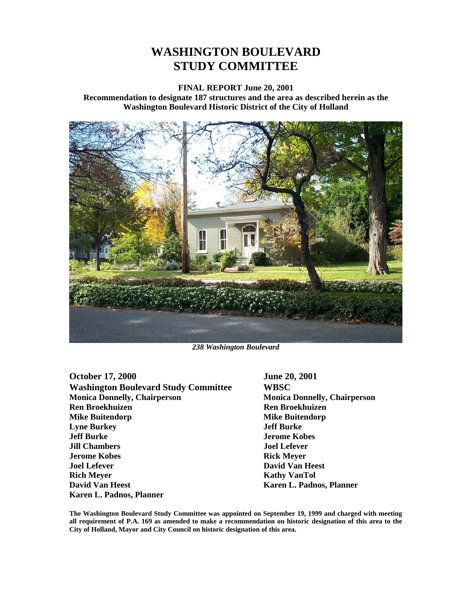# **WASHINGTON BOULEVARD STUDY COMMITTEE**

#### **FINAL REPORT June 20, 2001**

**Recommendation to designate 187 structures and the area as described herein as the Washington Boulevard Historic District of the City of Holland** 



*238 Washington Boulevard* 

October 17, 2000<br>Washington Boulevard Study Committee **Boulevard Study Committee WBSC Washington Boulevard Study Committee Monica Donnelly, Chairperson Monica Donnelly, Chairperson Ren Broekhuizen Ren Broekhuizen Mike Buitendorp Mike Buitendorp Lyne Burkey Jeff Burke Jeff Burke Jerome Kobes Jill Chambers Joel Lefever Jerome Kobes** Rick Meyer **Joel Lefever David Van Heest Rich Meyer Kathy VanTol David Van Heest** Karen L. Padnos, Planner **Karen L. Padnos, Planner** 

**The Washington Boulevard Study Committee was appointed on September 19, 1999 and charged with meeting all requirement of P.A. 169 as amended to make a recommendation on historic designation of this area to the City of Holland, Mayor and City Council on historic designation of this area.**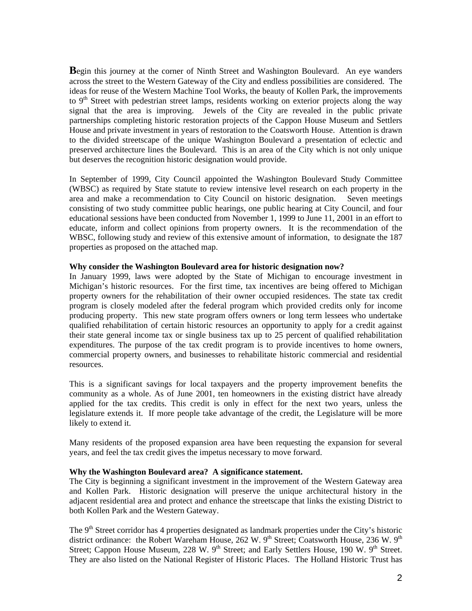**B**egin this journey at the corner of Ninth Street and Washington Boulevard. An eye wanders across the street to the Western Gateway of the City and endless possibilities are considered. The ideas for reuse of the Western Machine Tool Works, the beauty of Kollen Park, the improvements to  $9<sup>th</sup>$  Street with pedestrian street lamps, residents working on exterior projects along the way signal that the area is improving. Jewels of the City are revealed in the public private partnerships completing historic restoration projects of the Cappon House Museum and Settlers House and private investment in years of restoration to the Coatsworth House. Attention is drawn to the divided streetscape of the unique Washington Boulevard a presentation of eclectic and preserved architecture lines the Boulevard. This is an area of the City which is not only unique but deserves the recognition historic designation would provide.

In September of 1999, City Council appointed the Washington Boulevard Study Committee (WBSC) as required by State statute to review intensive level research on each property in the area and make a recommendation to City Council on historic designation. Seven meetings consisting of two study committee public hearings, one public hearing at City Council, and four educational sessions have been conducted from November 1, 1999 to June 11, 2001 in an effort to educate, inform and collect opinions from property owners. It is the recommendation of the WBSC, following study and review of this extensive amount of information, to designate the 187 properties as proposed on the attached map.

#### **Why consider the Washington Boulevard area for historic designation now?**

In January 1999, laws were adopted by the State of Michigan to encourage investment in Michigan's historic resources. For the first time, tax incentives are being offered to Michigan property owners for the rehabilitation of their owner occupied residences. The state tax credit program is closely modeled after the federal program which provided credits only for income producing property. This new state program offers owners or long term lessees who undertake qualified rehabilitation of certain historic resources an opportunity to apply for a credit against their state general income tax or single business tax up to 25 percent of qualified rehabilitation expenditures. The purpose of the tax credit program is to provide incentives to home owners, commercial property owners, and businesses to rehabilitate historic commercial and residential resources.

This is a significant savings for local taxpayers and the property improvement benefits the community as a whole. As of June 2001, ten homeowners in the existing district have already applied for the tax credits. This credit is only in effect for the next two years, unless the legislature extends it. If more people take advantage of the credit, the Legislature will be more likely to extend it.

Many residents of the proposed expansion area have been requesting the expansion for several years, and feel the tax credit gives the impetus necessary to move forward.

## **Why the Washington Boulevard area? A significance statement.**

The City is beginning a significant investment in the improvement of the Western Gateway area and Kollen Park. Historic designation will preserve the unique architectural history in the adjacent residential area and protect and enhance the streetscape that links the existing District to both Kollen Park and the Western Gateway.

The  $9<sup>th</sup>$  Street corridor has 4 properties designated as landmark properties under the City's historic district ordinance: the Robert Wareham House, 262 W. 9<sup>th</sup> Street; Coatsworth House, 236 W. 9<sup>th</sup> Street; Cappon House Museum, 228 W.  $9<sup>th</sup>$  Street; and Early Settlers House, 190 W.  $9<sup>th</sup>$  Street. They are also listed on the National Register of Historic Places. The Holland Historic Trust has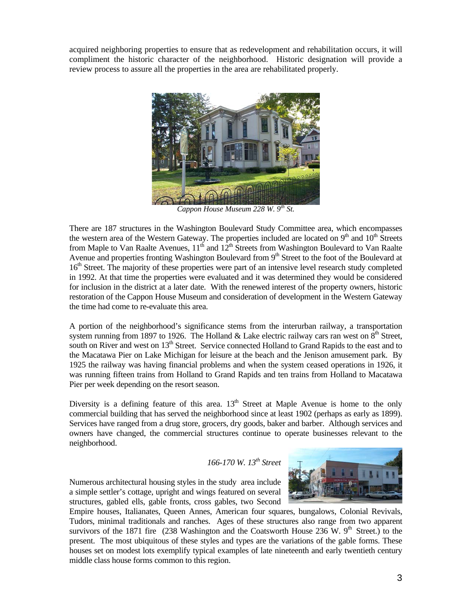acquired neighboring properties to ensure that as redevelopment and rehabilitation occurs, it will compliment the historic character of the neighborhood. Historic designation will provide a review process to assure all the properties in the area are rehabilitated properly.



*Cappon House Museum 228 W. 9th St.* 

There are 187 structures in the Washington Boulevard Study Committee area, which encompasses the western area of the Western Gateway. The properties included are located on  $9<sup>th</sup>$  and  $10<sup>th</sup>$  Streets from Maple to Van Raalte Avenues,  $11^{th}$  and  $12^{th}$  Streets from Washington Boulevard to Van Raalte Avenue and properties fronting Washington Boulevard from  $9<sup>th</sup>$  Street to the foot of the Boulevard at 16<sup>th</sup> Street. The majority of these properties were part of an intensive level research study completed in 1992. At that time the properties were evaluated and it was determined they would be considered for inclusion in the district at a later date. With the renewed interest of the property owners, historic restoration of the Cappon House Museum and consideration of development in the Western Gateway the time had come to re-evaluate this area.

A portion of the neighborhood's significance stems from the interurban railway, a transportation system running from 1897 to 1926. The Holland & Lake electric railway cars ran west on  $8<sup>th</sup>$  Street, south on River and west on 13<sup>th</sup> Street. Service connected Holland to Grand Rapids to the east and to the Macatawa Pier on Lake Michigan for leisure at the beach and the Jenison amusement park. By 1925 the railway was having financial problems and when the system ceased operations in 1926, it was running fifteen trains from Holland to Grand Rapids and ten trains from Holland to Macatawa Pier per week depending on the resort season.

Diversity is a defining feature of this area.  $13<sup>th</sup>$  Street at Maple Avenue is home to the only commercial building that has served the neighborhood since at least 1902 (perhaps as early as 1899). Services have ranged from a drug store, grocers, dry goods, baker and barber. Although services and owners have changed, the commercial structures continue to operate businesses relevant to the neighborhood.

# *166-170 W. 13th Street*

Numerous architectural housing styles in the study area include a simple settler's cottage, upright and wings featured on several structures, gabled ells, gable fronts, cross gables, two Second



Empire houses, Italianates, Queen Annes, American four squares, bungalows, Colonial Revivals, Tudors, minimal traditionals and ranches. Ages of these structures also range from two apparent survivors of the 1871 fire (238 Washington and the Coatsworth House 236 W.  $9<sup>th</sup>$  Street.) to the present. The most ubiquitous of these styles and types are the variations of the gable forms. These houses set on modest lots exemplify typical examples of late nineteenth and early twentieth century middle class house forms common to this region.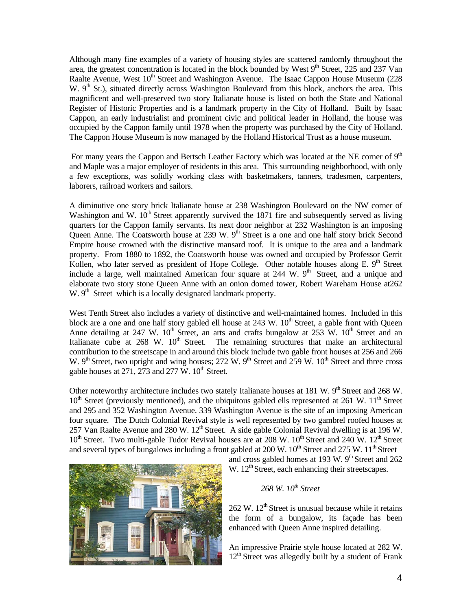Although many fine examples of a variety of housing styles are scattered randomly throughout the area, the greatest concentration is located in the block bounded by West  $9<sup>th</sup>$  Street, 225 and 237 Van Raalte Avenue, West  $10^{th}$  Street and Washington Avenue. The Isaac Cappon House Museum (228) W.  $9<sup>th</sup>$  St.), situated directly across Washington Boulevard from this block, anchors the area. This magnificent and well-preserved two story Italianate house is listed on both the State and National Register of Historic Properties and is a landmark property in the City of Holland. Built by Isaac Cappon, an early industrialist and prominent civic and political leader in Holland, the house was occupied by the Cappon family until 1978 when the property was purchased by the City of Holland. The Cappon House Museum is now managed by the Holland Historical Trust as a house museum.

For many years the Cappon and Bertsch Leather Factory which was located at the NE corner of  $9<sup>th</sup>$ and Maple was a major employer of residents in this area. This surrounding neighborhood, with only a few exceptions, was solidly working class with basketmakers, tanners, tradesmen, carpenters, laborers, railroad workers and sailors.

A diminutive one story brick Italianate house at 238 Washington Boulevard on the NW corner of Washington and W.  $10^{th}$  Street apparently survived the 1871 fire and subsequently served as living quarters for the Cappon family servants. Its next door neighbor at 232 Washington is an imposing Queen Anne. The Coatsworth house at 239 W. 9<sup>th</sup> Street is a one and one half story brick Second Empire house crowned with the distinctive mansard roof. It is unique to the area and a landmark property. From 1880 to 1892, the Coatsworth house was owned and occupied by Professor Gerrit Kollen, who later served as president of Hope College. Other notable houses along E.  $9<sup>th</sup>$  Street include a large, well maintained American four square at 244 W.  $9<sup>th</sup>$  Street, and a unique and elaborate two story stone Queen Anne with an onion domed tower, Robert Wareham House at262 W. 9<sup>th</sup> Street which is a locally designated landmark property.

West Tenth Street also includes a variety of distinctive and well-maintained homes. Included in this block are a one and one half story gabled ell house at  $243 \text{ W}$ .  $10^{\text{th}}$  Street, a gable front with Queen Anne detailing at 247 W.  $10^{th}$  Street, an arts and crafts bungalow at 253 W.  $10^{th}$  Street and an Italianate cube at  $268$  W.  $10<sup>th</sup>$  Street. The remaining structures that make an architectural contribution to the streetscape in and around this block include two gable front houses at 256 and 266 W. 9<sup>th</sup> Street, two upright and wing houses; 272 W. 9<sup>th</sup> Street and 259 W. 10<sup>th</sup> Street and three cross gable houses at  $271, 273$  and  $277 \text{ W}$ .  $10^{\text{th}}$  Street.

Other noteworthy architecture includes two stately Italianate houses at 181 W.  $9<sup>th</sup>$  Street and 268 W.  $10<sup>th</sup>$  Street (previously mentioned), and the ubiquitous gabled ells represented at 261 W.  $11<sup>th</sup>$  Street and 295 and 352 Washington Avenue. 339 Washington Avenue is the site of an imposing American four square. The Dutch Colonial Revival style is well represented by two gambrel roofed houses at  $257$  Van Raalte Avenue and 280 W.  $12<sup>th</sup>$  Street. A side gable Colonial Revival dwelling is at 196 W. 10<sup>th</sup> Street. Two multi-gable Tudor Revival houses are at 208 W. 10<sup>th</sup> Street and 240 W. 12<sup>th</sup> Street and several types of bungalows including a front gabled at 200 W.  $10^{th}$  Street and 275 W.  $11^{th}$  Street



and cross gabled homes at 193 W.  $9<sup>th</sup>$  Street and 262 W.  $12<sup>th</sup>$  Street, each enhancing their streetscapes.

## *268 W. 10th Street*

 $262$  W.  $12<sup>th</sup>$  Street is unusual because while it retains the form of a bungalow, its façade has been enhanced with Queen Anne inspired detailing.

An impressive Prairie style house located at 282 W.  $12<sup>th</sup>$  Street was allegedly built by a student of Frank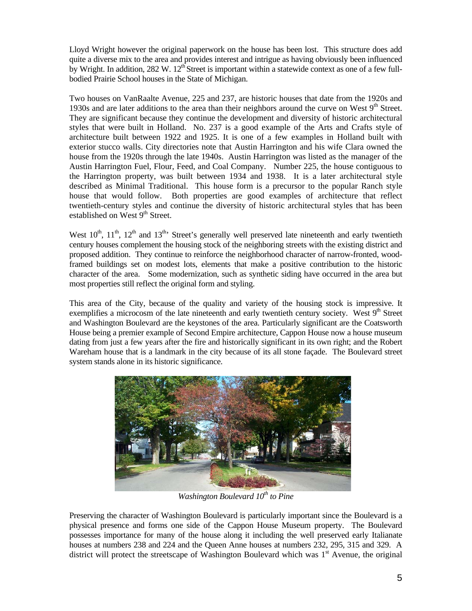Lloyd Wright however the original paperwork on the house has been lost. This structure does add quite a diverse mix to the area and provides interest and intrigue as having obviously been influenced by Wright. In addition, 282 W. 12<sup>th</sup> Street is important within a statewide context as one of a few fullbodied Prairie School houses in the State of Michigan.

Two houses on VanRaalte Avenue, 225 and 237, are historic houses that date from the 1920s and 1930s and are later additions to the area than their neighbors around the curve on West  $9<sup>th</sup>$  Street. They are significant because they continue the development and diversity of historic architectural styles that were built in Holland. No. 237 is a good example of the Arts and Crafts style of architecture built between 1922 and 1925. It is one of a few examples in Holland built with exterior stucco walls. City directories note that Austin Harrington and his wife Clara owned the house from the 1920s through the late 1940s. Austin Harrington was listed as the manager of the Austin Harrington Fuel, Flour, Feed, and Coal Company. Number 225, the house contiguous to the Harrington property, was built between 1934 and 1938. It is a later architectural style described as Minimal Traditional. This house form is a precursor to the popular Ranch style house that would follow. Both properties are good examples of architecture that reflect twentieth-century styles and continue the diversity of historic architectural styles that has been established on West 9<sup>th</sup> Street.

West  $10^{th}$ ,  $11^{th}$ ,  $12^{th}$  and  $13^{th}$ . Street's generally well preserved late nineteenth and early twentieth century houses complement the housing stock of the neighboring streets with the existing district and proposed addition. They continue to reinforce the neighborhood character of narrow-fronted, woodframed buildings set on modest lots, elements that make a positive contribution to the historic character of the area. Some modernization, such as synthetic siding have occurred in the area but most properties still reflect the original form and styling.

This area of the City, because of the quality and variety of the housing stock is impressive. It exemplifies a microcosm of the late nineteenth and early twentieth century society. West  $9<sup>th</sup>$  Street and Washington Boulevard are the keystones of the area. Particularly significant are the Coatsworth House being a premier example of Second Empire architecture, Cappon House now a house museum dating from just a few years after the fire and historically significant in its own right; and the Robert Wareham house that is a landmark in the city because of its all stone façade. The Boulevard street system stands alone in its historic significance.



*Washington Boulevard 10<sup>th</sup> to Pine* 

Preserving the character of Washington Boulevard is particularly important since the Boulevard is a physical presence and forms one side of the Cappon House Museum property. The Boulevard possesses importance for many of the house along it including the well preserved early Italianate houses at numbers 238 and 224 and the Queen Anne houses at numbers 232, 295, 315 and 329. A district will protect the streetscape of Washington Boulevard which was  $1<sup>st</sup>$  Avenue, the original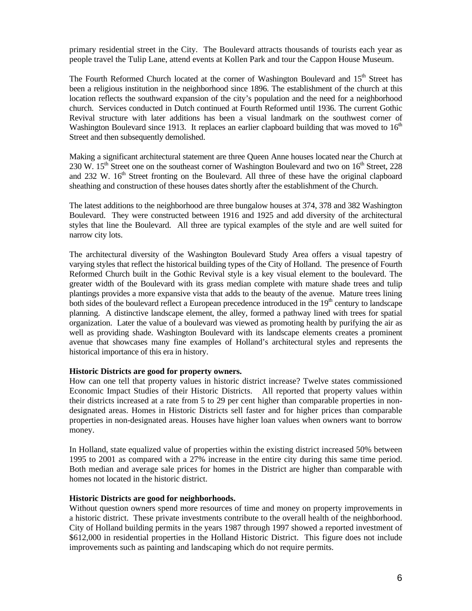primary residential street in the City. The Boulevard attracts thousands of tourists each year as people travel the Tulip Lane, attend events at Kollen Park and tour the Cappon House Museum.

The Fourth Reformed Church located at the corner of Washington Boulevard and 15<sup>th</sup> Street has been a religious institution in the neighborhood since 1896. The establishment of the church at this location reflects the southward expansion of the city's population and the need for a neighborhood church. Services conducted in Dutch continued at Fourth Reformed until 1936. The current Gothic Revival structure with later additions has been a visual landmark on the southwest corner of Washington Boulevard since 1913. It replaces an earlier clapboard building that was moved to  $16<sup>th</sup>$ Street and then subsequently demolished.

Making a significant architectural statement are three Queen Anne houses located near the Church at 230 W.  $15^{th}$  Street one on the southeast corner of Washington Boulevard and two on  $16^{th}$  Street, 228 and 232 W. 16<sup>th</sup> Street fronting on the Boulevard. All three of these have the original clapboard sheathing and construction of these houses dates shortly after the establishment of the Church.

The latest additions to the neighborhood are three bungalow houses at 374, 378 and 382 Washington Boulevard. They were constructed between 1916 and 1925 and add diversity of the architectural styles that line the Boulevard. All three are typical examples of the style and are well suited for narrow city lots.

The architectural diversity of the Washington Boulevard Study Area offers a visual tapestry of varying styles that reflect the historical building types of the City of Holland. The presence of Fourth Reformed Church built in the Gothic Revival style is a key visual element to the boulevard. The greater width of the Boulevard with its grass median complete with mature shade trees and tulip plantings provides a more expansive vista that adds to the beauty of the avenue. Mature trees lining both sides of the boulevard reflect a European precedence introduced in the  $19<sup>th</sup>$  century to landscape planning. A distinctive landscape element, the alley, formed a pathway lined with trees for spatial organization. Later the value of a boulevard was viewed as promoting health by purifying the air as well as providing shade. Washington Boulevard with its landscape elements creates a prominent avenue that showcases many fine examples of Holland's architectural styles and represents the historical importance of this era in history.

#### **Historic Districts are good for property owners.**

How can one tell that property values in historic district increase? Twelve states commissioned Economic Impact Studies of their Historic Districts. All reported that property values within their districts increased at a rate from 5 to 29 per cent higher than comparable properties in nondesignated areas. Homes in Historic Districts sell faster and for higher prices than comparable properties in non-designated areas. Houses have higher loan values when owners want to borrow money.

In Holland, state equalized value of properties within the existing district increased 50% between 1995 to 2001 as compared with a 27% increase in the entire city during this same time period. Both median and average sale prices for homes in the District are higher than comparable with homes not located in the historic district.

## **Historic Districts are good for neighborhoods.**

Without question owners spend more resources of time and money on property improvements in a historic district. These private investments contribute to the overall health of the neighborhood. City of Holland building permits in the years 1987 through 1997 showed a reported investment of \$612,000 in residential properties in the Holland Historic District. This figure does not include improvements such as painting and landscaping which do not require permits.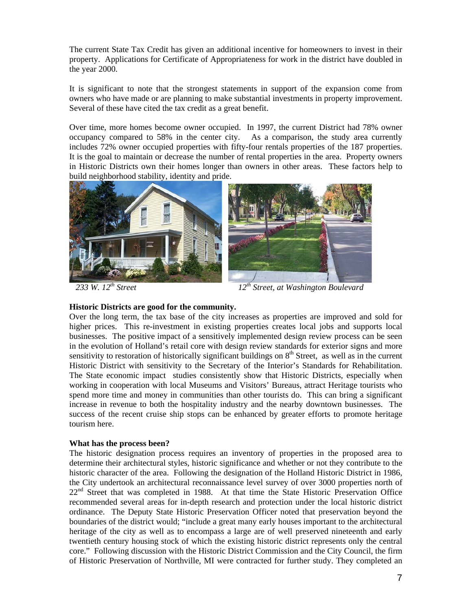The current State Tax Credit has given an additional incentive for homeowners to invest in their property. Applications for Certificate of Appropriateness for work in the district have doubled in the year 2000.

It is significant to note that the strongest statements in support of the expansion come from owners who have made or are planning to make substantial investments in property improvement. Several of these have cited the tax credit as a great benefit.

Over time, more homes become owner occupied. In 1997, the current District had 78% owner occupancy compared to 58% in the center city. As a comparison, the study area currently includes 72% owner occupied properties with fifty-four rentals properties of the 187 properties. It is the goal to maintain or decrease the number of rental properties in the area. Property owners in Historic Districts own their homes longer than owners in other areas. These factors help to build neighborhood stability, identity and pride.



233 W. 12<sup>th</sup> Street 12<sup>th</sup> Street, at Washington Boulevard

## **Historic Districts are good for the community.**

Over the long term, the tax base of the city increases as properties are improved and sold for higher prices. This re-investment in existing properties creates local jobs and supports local businesses. The positive impact of a sensitively implemented design review process can be seen in the evolution of Holland's retail core with design review standards for exterior signs and more sensitivity to restoration of historically significant buildings on  $8<sup>th</sup>$  Street, as well as in the current Historic District with sensitivity to the Secretary of the Interior's Standards for Rehabilitation. The State economic impact studies consistently show that Historic Districts, especially when working in cooperation with local Museums and Visitors' Bureaus, attract Heritage tourists who spend more time and money in communities than other tourists do. This can bring a significant increase in revenue to both the hospitality industry and the nearby downtown businesses. The success of the recent cruise ship stops can be enhanced by greater efforts to promote heritage tourism here.

## **What has the process been?**

The historic designation process requires an inventory of properties in the proposed area to determine their architectural styles, historic significance and whether or not they contribute to the historic character of the area. Following the designation of the Holland Historic District in 1986, the City undertook an architectural reconnaissance level survey of over 3000 properties north of 22<sup>nd</sup> Street that was completed in 1988. At that time the State Historic Preservation Office recommended several areas for in-depth research and protection under the local historic district ordinance. The Deputy State Historic Preservation Officer noted that preservation beyond the boundaries of the district would; "include a great many early houses important to the architectural heritage of the city as well as to encompass a large are of well preserved nineteenth and early twentieth century housing stock of which the existing historic district represents only the central core." Following discussion with the Historic District Commission and the City Council, the firm of Historic Preservation of Northville, MI were contracted for further study. They completed an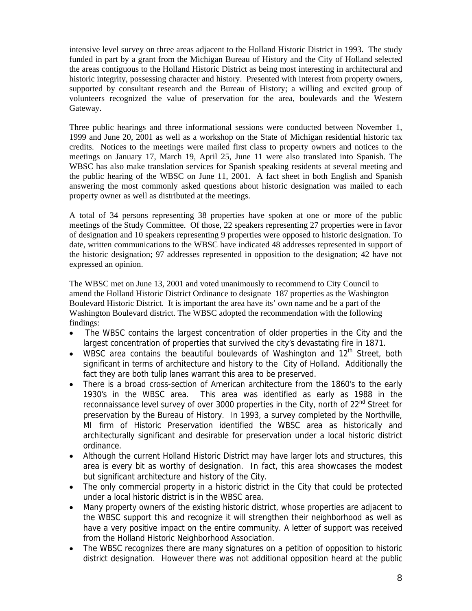intensive level survey on three areas adjacent to the Holland Historic District in 1993. The study funded in part by a grant from the Michigan Bureau of History and the City of Holland selected the areas contiguous to the Holland Historic District as being most interesting in architectural and historic integrity, possessing character and history. Presented with interest from property owners, supported by consultant research and the Bureau of History; a willing and excited group of volunteers recognized the value of preservation for the area, boulevards and the Western Gateway.

Three public hearings and three informational sessions were conducted between November 1, 1999 and June 20, 2001 as well as a workshop on the State of Michigan residential historic tax credits. Notices to the meetings were mailed first class to property owners and notices to the meetings on January 17, March 19, April 25, June 11 were also translated into Spanish. The WBSC has also make translation services for Spanish speaking residents at several meeting and the public hearing of the WBSC on June 11, 2001. A fact sheet in both English and Spanish answering the most commonly asked questions about historic designation was mailed to each property owner as well as distributed at the meetings.

A total of 34 persons representing 38 properties have spoken at one or more of the public meetings of the Study Committee. Of those, 22 speakers representing 27 properties were in favor of designation and 10 speakers representing 9 properties were opposed to historic designation. To date, written communications to the WBSC have indicated 48 addresses represented in support of the historic designation; 97 addresses represented in opposition to the designation; 42 have not expressed an opinion.

The WBSC met on June 13, 2001 and voted unanimously to recommend to City Council to amend the Holland Historic District Ordinance to designate 187 properties as the Washington Boulevard Historic District. It is important the area have its' own name and be a part of the Washington Boulevard district. The WBSC adopted the recommendation with the following findings:

- The WBSC contains the largest concentration of older properties in the City and the largest concentration of properties that survived the city's devastating fire in 1871.
- WBSC area contains the beautiful boulevards of Washington and  $12<sup>th</sup>$  Street, both significant in terms of architecture and history to the City of Holland. Additionally the fact they are both tulip lanes warrant this area to be preserved.
- There is a broad cross-section of American architecture from the 1860's to the early 1930's in the WBSC area. This area was identified as early as 1988 in the reconnaissance level survey of over 3000 properties in the City, north of 22<sup>nd</sup> Street for preservation by the Bureau of History. In 1993, a survey completed by the Northville, MI firm of Historic Preservation identified the WBSC area as historically and architecturally significant and desirable for preservation under a local historic district ordinance.
- Although the current Holland Historic District may have larger lots and structures, this area is every bit as worthy of designation. In fact, this area showcases the modest but significant architecture and history of the City.
- The only commercial property in a historic district in the City that could be protected under a local historic district is in the WBSC area.
- Many property owners of the existing historic district, whose properties are adjacent to the WBSC support this and recognize it will strengthen their neighborhood as well as have a very positive impact on the entire community. A letter of support was received from the Holland Historic Neighborhood Association.
- The WBSC recognizes there are many signatures on a petition of opposition to historic district designation. However there was not additional opposition heard at the public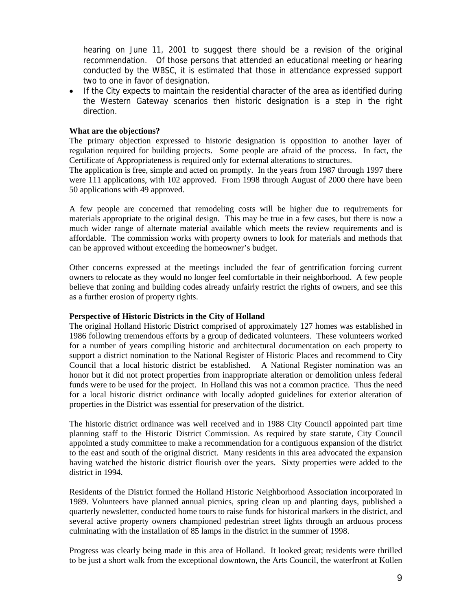hearing on June 11, 2001 to suggest there should be a revision of the original recommendation. Of those persons that attended an educational meeting or hearing conducted by the WBSC, it is estimated that those in attendance expressed support two to one in favor of designation.

• If the City expects to maintain the residential character of the area as identified during the Western Gateway scenarios then historic designation is a step in the right direction.

#### **What are the objections?**

The primary objection expressed to historic designation is opposition to another layer of regulation required for building projects. Some people are afraid of the process. In fact, the Certificate of Appropriateness is required only for external alterations to structures.

The application is free, simple and acted on promptly. In the years from 1987 through 1997 there were 111 applications, with 102 approved. From 1998 through August of 2000 there have been 50 applications with 49 approved.

A few people are concerned that remodeling costs will be higher due to requirements for materials appropriate to the original design. This may be true in a few cases, but there is now a much wider range of alternate material available which meets the review requirements and is affordable. The commission works with property owners to look for materials and methods that can be approved without exceeding the homeowner's budget.

Other concerns expressed at the meetings included the fear of gentrification forcing current owners to relocate as they would no longer feel comfortable in their neighborhood. A few people believe that zoning and building codes already unfairly restrict the rights of owners, and see this as a further erosion of property rights.

## **Perspective of Historic Districts in the City of Holland**

The original Holland Historic District comprised of approximately 127 homes was established in 1986 following tremendous efforts by a group of dedicated volunteers. These volunteers worked for a number of years compiling historic and architectural documentation on each property to support a district nomination to the National Register of Historic Places and recommend to City Council that a local historic district be established. A National Register nomination was an honor but it did not protect properties from inappropriate alteration or demolition unless federal funds were to be used for the project. In Holland this was not a common practice. Thus the need for a local historic district ordinance with locally adopted guidelines for exterior alteration of properties in the District was essential for preservation of the district.

The historic district ordinance was well received and in 1988 City Council appointed part time planning staff to the Historic District Commission. As required by state statute, City Council appointed a study committee to make a recommendation for a contiguous expansion of the district to the east and south of the original district. Many residents in this area advocated the expansion having watched the historic district flourish over the years. Sixty properties were added to the district in 1994.

Residents of the District formed the Holland Historic Neighborhood Association incorporated in 1989. Volunteers have planned annual picnics, spring clean up and planting days, published a quarterly newsletter, conducted home tours to raise funds for historical markers in the district, and several active property owners championed pedestrian street lights through an arduous process culminating with the installation of 85 lamps in the district in the summer of 1998.

Progress was clearly being made in this area of Holland. It looked great; residents were thrilled to be just a short walk from the exceptional downtown, the Arts Council, the waterfront at Kollen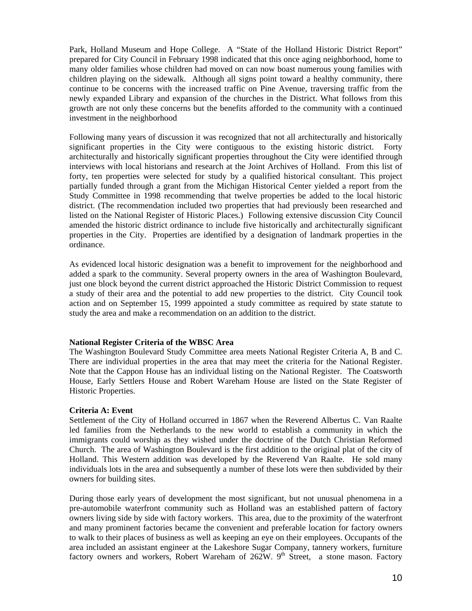Park, Holland Museum and Hope College. A "State of the Holland Historic District Report" prepared for City Council in February 1998 indicated that this once aging neighborhood, home to many older families whose children had moved on can now boast numerous young families with children playing on the sidewalk. Although all signs point toward a healthy community, there continue to be concerns with the increased traffic on Pine Avenue, traversing traffic from the newly expanded Library and expansion of the churches in the District. What follows from this growth are not only these concerns but the benefits afforded to the community with a continued investment in the neighborhood

Following many years of discussion it was recognized that not all architecturally and historically significant properties in the City were contiguous to the existing historic district. Forty architecturally and historically significant properties throughout the City were identified through interviews with local historians and research at the Joint Archives of Holland. From this list of forty, ten properties were selected for study by a qualified historical consultant. This project partially funded through a grant from the Michigan Historical Center yielded a report from the Study Committee in 1998 recommending that twelve properties be added to the local historic district. (The recommendation included two properties that had previously been researched and listed on the National Register of Historic Places.) Following extensive discussion City Council amended the historic district ordinance to include five historically and architecturally significant properties in the City. Properties are identified by a designation of landmark properties in the ordinance.

As evidenced local historic designation was a benefit to improvement for the neighborhood and added a spark to the community. Several property owners in the area of Washington Boulevard, just one block beyond the current district approached the Historic District Commission to request a study of their area and the potential to add new properties to the district. City Council took action and on September 15, 1999 appointed a study committee as required by state statute to study the area and make a recommendation on an addition to the district.

## **National Register Criteria of the WBSC Area**

The Washington Boulevard Study Committee area meets National Register Criteria A, B and C. There are individual properties in the area that may meet the criteria for the National Register. Note that the Cappon House has an individual listing on the National Register. The Coatsworth House, Early Settlers House and Robert Wareham House are listed on the State Register of Historic Properties.

#### **Criteria A: Event**

Settlement of the City of Holland occurred in 1867 when the Reverend Albertus C. Van Raalte led families from the Netherlands to the new world to establish a community in which the immigrants could worship as they wished under the doctrine of the Dutch Christian Reformed Church. The area of Washington Boulevard is the first addition to the original plat of the city of Holland. This Western addition was developed by the Reverend Van Raalte. He sold many individuals lots in the area and subsequently a number of these lots were then subdivided by their owners for building sites.

During those early years of development the most significant, but not unusual phenomena in a pre-automobile waterfront community such as Holland was an established pattern of factory owners living side by side with factory workers. This area, due to the proximity of the waterfront and many prominent factories became the convenient and preferable location for factory owners to walk to their places of business as well as keeping an eye on their employees. Occupants of the area included an assistant engineer at the Lakeshore Sugar Company, tannery workers, furniture factory owners and workers, Robert Wareham of  $262W$ . 9<sup>th</sup> Street, a stone mason. Factory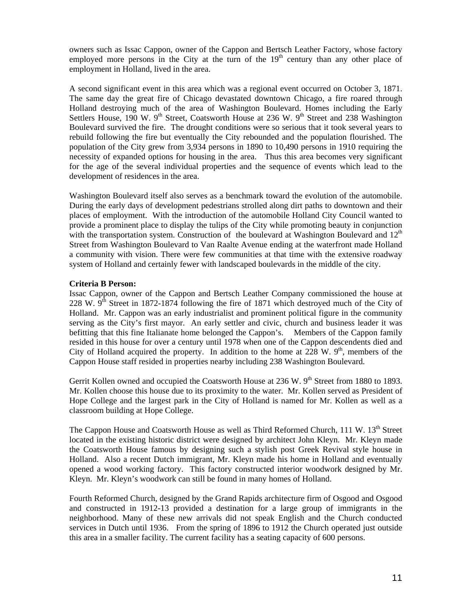owners such as Issac Cappon, owner of the Cappon and Bertsch Leather Factory, whose factory employed more persons in the City at the turn of the  $19<sup>th</sup>$  century than any other place of employment in Holland, lived in the area.

A second significant event in this area which was a regional event occurred on October 3, 1871. The same day the great fire of Chicago devastated downtown Chicago, a fire roared through Holland destroying much of the area of Washington Boulevard. Homes including the Early Settlers House, 190 W. 9<sup>th</sup> Street, Coatsworth House at 236 W. 9<sup>th</sup> Street and 238 Washington Boulevard survived the fire. The drought conditions were so serious that it took several years to rebuild following the fire but eventually the City rebounded and the population flourished. The population of the City grew from 3,934 persons in 1890 to 10,490 persons in 1910 requiring the necessity of expanded options for housing in the area. Thus this area becomes very significant for the age of the several individual properties and the sequence of events which lead to the development of residences in the area.

Washington Boulevard itself also serves as a benchmark toward the evolution of the automobile. During the early days of development pedestrians strolled along dirt paths to downtown and their places of employment. With the introduction of the automobile Holland City Council wanted to provide a prominent place to display the tulips of the City while promoting beauty in conjunction with the transportation system. Construction of the boulevard at Washington Boulevard and  $12<sup>th</sup>$ Street from Washington Boulevard to Van Raalte Avenue ending at the waterfront made Holland a community with vision. There were few communities at that time with the extensive roadway system of Holland and certainly fewer with landscaped boulevards in the middle of the city.

## **Criteria B Person:**

Issac Cappon, owner of the Cappon and Bertsch Leather Company commissioned the house at 228 W.  $9<sup>th</sup>$  Street in 1872-1874 following the fire of 1871 which destroyed much of the City of Holland. Mr. Cappon was an early industrialist and prominent political figure in the community serving as the City's first mayor. An early settler and civic, church and business leader it was befitting that this fine Italianate home belonged the Cappon's. Members of the Cappon family resided in this house for over a century until 1978 when one of the Cappon descendents died and City of Holland acquired the property. In addition to the home at  $228 \text{ W}$ .  $9^{\text{th}}$ , members of the Cappon House staff resided in properties nearby including 238 Washington Boulevard.

Gerrit Kollen owned and occupied the Coatsworth House at 236 W. 9<sup>th</sup> Street from 1880 to 1893. Mr. Kollen choose this house due to its proximity to the water. Mr. Kollen served as President of Hope College and the largest park in the City of Holland is named for Mr. Kollen as well as a classroom building at Hope College.

The Cappon House and Coatsworth House as well as Third Reformed Church, 111 W. 13<sup>th</sup> Street located in the existing historic district were designed by architect John Kleyn. Mr. Kleyn made the Coatsworth House famous by designing such a stylish post Greek Revival style house in Holland. Also a recent Dutch immigrant, Mr. Kleyn made his home in Holland and eventually opened a wood working factory. This factory constructed interior woodwork designed by Mr. Kleyn. Mr. Kleyn's woodwork can still be found in many homes of Holland.

Fourth Reformed Church, designed by the Grand Rapids architecture firm of Osgood and Osgood and constructed in 1912-13 provided a destination for a large group of immigrants in the neighborhood. Many of these new arrivals did not speak English and the Church conducted services in Dutch until 1936. From the spring of 1896 to 1912 the Church operated just outside this area in a smaller facility. The current facility has a seating capacity of 600 persons.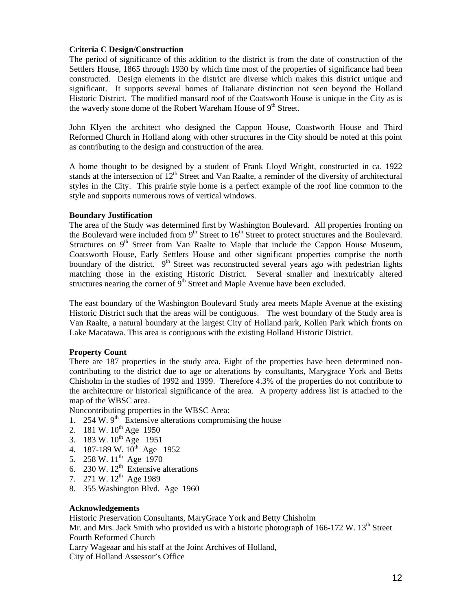## **Criteria C Design/Construction**

The period of significance of this addition to the district is from the date of construction of the Settlers House, 1865 through 1930 by which time most of the properties of significance had been constructed. Design elements in the district are diverse which makes this district unique and significant. It supports several homes of Italianate distinction not seen beyond the Holland Historic District. The modified mansard roof of the Coatsworth House is unique in the City as is the waverly stone dome of the Robert Wareham House of  $9<sup>th</sup>$  Street.

John Klyen the architect who designed the Cappon House, Coastworth House and Third Reformed Church in Holland along with other structures in the City should be noted at this point as contributing to the design and construction of the area.

A home thought to be designed by a student of Frank Lloyd Wright, constructed in ca. 1922 stands at the intersection of  $12<sup>th</sup>$  Street and Van Raalte, a reminder of the diversity of architectural styles in the City. This prairie style home is a perfect example of the roof line common to the style and supports numerous rows of vertical windows.

## **Boundary Justification**

The area of the Study was determined first by Washington Boulevard. All properties fronting on the Boulevard were included from  $9<sup>th</sup>$  Street to  $16<sup>th</sup>$  Street to protect structures and the Boulevard. Structures on  $9<sup>th</sup>$  Street from Van Raalte to Maple that include the Cappon House Museum, Coatsworth House, Early Settlers House and other significant properties comprise the north boundary of the district.  $9<sup>th</sup>$  Street was reconstructed several years ago with pedestrian lights matching those in the existing Historic District. Several smaller and inextricably altered structures nearing the corner of  $9<sup>th</sup>$  Street and Maple Avenue have been excluded.

The east boundary of the Washington Boulevard Study area meets Maple Avenue at the existing Historic District such that the areas will be contiguous. The west boundary of the Study area is Van Raalte, a natural boundary at the largest City of Holland park, Kollen Park which fronts on Lake Macatawa. This area is contiguous with the existing Holland Historic District.

## **Property Count**

There are 187 properties in the study area. Eight of the properties have been determined noncontributing to the district due to age or alterations by consultants, Marygrace York and Betts Chisholm in the studies of 1992 and 1999. Therefore 4.3% of the properties do not contribute to the architecture or historical significance of the area. A property address list is attached to the map of the WBSC area.

Noncontributing properties in the WBSC Area:

- 1. 254 W.  $9<sup>th</sup>$  Extensive alterations compromising the house
- 2. 181 W.  $10^{th}$  Age 1950
- 3. 183 W.  $10^{th}$  Age 1951
- 4. 187-189 W.  $10^{th}$  Age 1952
- 5. 258 W.  $11^{th}$  Age 1970
- 6. 230 W.  $12^{th}$  Extensive alterations
- 7. 271 W. 12<sup>th</sup> Age 1989
- 8. 355 Washington Blvd. Age 1960

## **Acknowledgements**

Historic Preservation Consultants, MaryGrace York and Betty Chisholm

Mr. and Mrs. Jack Smith who provided us with a historic photograph of 166-172 W. 13<sup>th</sup> Street Fourth Reformed Church

Larry Wageaar and his staff at the Joint Archives of Holland,

City of Holland Assessor's Office